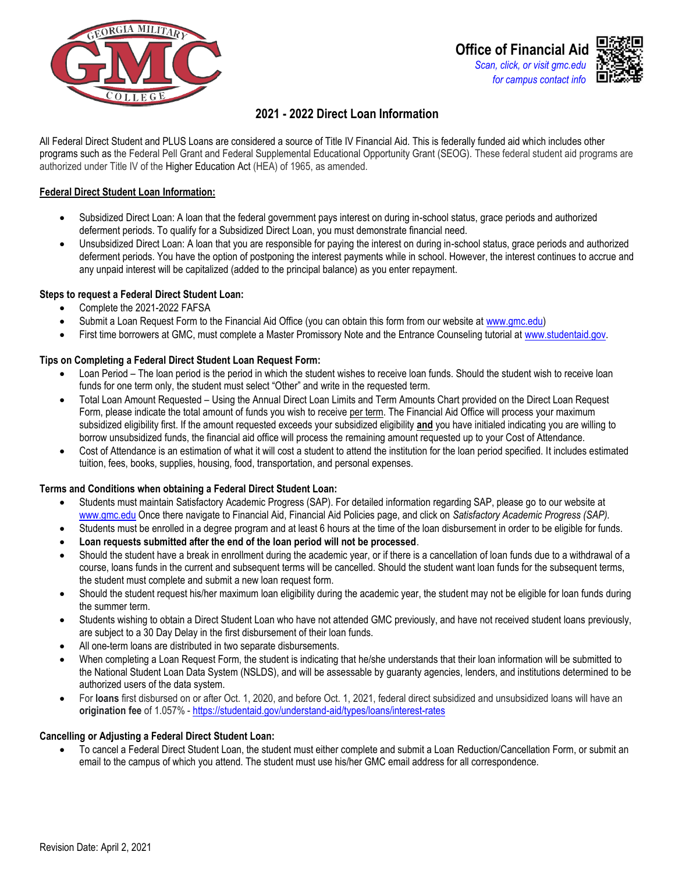



# **2021 - 2022 Direct Loan Information**

All Federal Direct Student and PLUS Loans are considered a source of Title IV Financial Aid. This is federally funded aid which includes other programs such as the Federal Pell Grant and Federal Supplemental Educational Opportunity Grant (SEOG). These federal student aid programs are authorized under Title IV of the Higher Education Act (HEA) of 1965, as amended.

### **Federal Direct Student Loan Information:**

- Subsidized Direct Loan: A loan that the federal government pays interest on during in-school status, grace periods and authorized deferment periods. To qualify for a Subsidized Direct Loan, you must demonstrate financial need.
- Unsubsidized Direct Loan: A loan that you are responsible for paying the interest on during in-school status, grace periods and authorized deferment periods. You have the option of postponing the interest payments while in school. However, the interest continues to accrue and any unpaid interest will be capitalized (added to the principal balance) as you enter repayment.

### **Steps to request a Federal Direct Student Loan:**

- Complete the 2021-2022 FAFSA
- Submit a Loan Request Form to the Financial Aid Office (you can obtain this form from our website at [www.gmc.edu\)](www.gmc.edu)
- First time borrowers at GMC, must complete a Master Promissory Note and the Entrance Counseling tutorial at [www.studentaid.gov.](http://www.studentaid.gov/)

### **Tips on Completing a Federal Direct Student Loan Request Form:**

- Loan Period The loan period is the period in which the student wishes to receive loan funds. Should the student wish to receive loan funds for one term only, the student must select "Other" and write in the requested term.
- Total Loan Amount Requested Using the Annual Direct Loan Limits and Term Amounts Chart provided on the Direct Loan Request Form, please indicate the total amount of funds you wish to receive per term. The Financial Aid Office will process your maximum subsidized eligibility first. If the amount requested exceeds your subsidized eligibility **and** you have initialed indicating you are willing to borrow unsubsidized funds, the financial aid office will process the remaining amount requested up to your Cost of Attendance*.*
- Cost of Attendance is an estimation of what it will cost a student to attend the institution for the loan period specified. It includes estimated tuition, fees, books, supplies, housing, food, transportation, and personal expenses.

#### **Terms and Conditions when obtaining a Federal Direct Student Loan:**

- Students must maintain Satisfactory Academic Progress (SAP). For detailed information regarding SAP, please go to our website at [www.gmc.edu O](http://www.gmc.edu/)nce there navigate to Financial Aid, Financial Aid Policies page, and click on *Satisfactory Academic Progress (SAP).*
- Students must be enrolled in a degree program and at least 6 hours at the time of the loan disbursement in order to be eligible for funds.
- **Loan requests submitted after the end of the loan period will not be processed**.
- Should the student have a break in enrollment during the academic year, or if there is a cancellation of loan funds due to a withdrawal of a course, loans funds in the current and subsequent terms will be cancelled. Should the student want loan funds for the subsequent terms, the student must complete and submit a new loan request form.
- Should the student request his/her maximum loan eligibility during the academic year, the student may not be eligible for loan funds during the summer term.
- Students wishing to obtain a Direct Student Loan who have not attended GMC previously, and have not received student loans previously, are subject to a 30 Day Delay in the first disbursement of their loan funds.
- All one-term loans are distributed in two separate disbursements.
- When completing a Loan Request Form, the student is indicating that he/she understands that their loan information will be submitted to the National Student Loan Data System (NSLDS), and will be assessable by guaranty agencies, lenders, and institutions determined to be authorized users of the data system.
- For **loans** first disbursed on or after Oct. 1, 2020, and before Oct. 1, 2021, federal direct subsidized and unsubsidized loans will have an **origination fee** of 1.057% -<https://studentaid.gov/understand-aid/types/loans/interest-rates>

#### **Cancelling or Adjusting a Federal Direct Student Loan:**

• To cancel a Federal Direct Student Loan, the student must either complete and submit a Loan Reduction/Cancellation Form, or submit an email to the campus of which you attend. The student must use his/her GMC email address for all correspondence.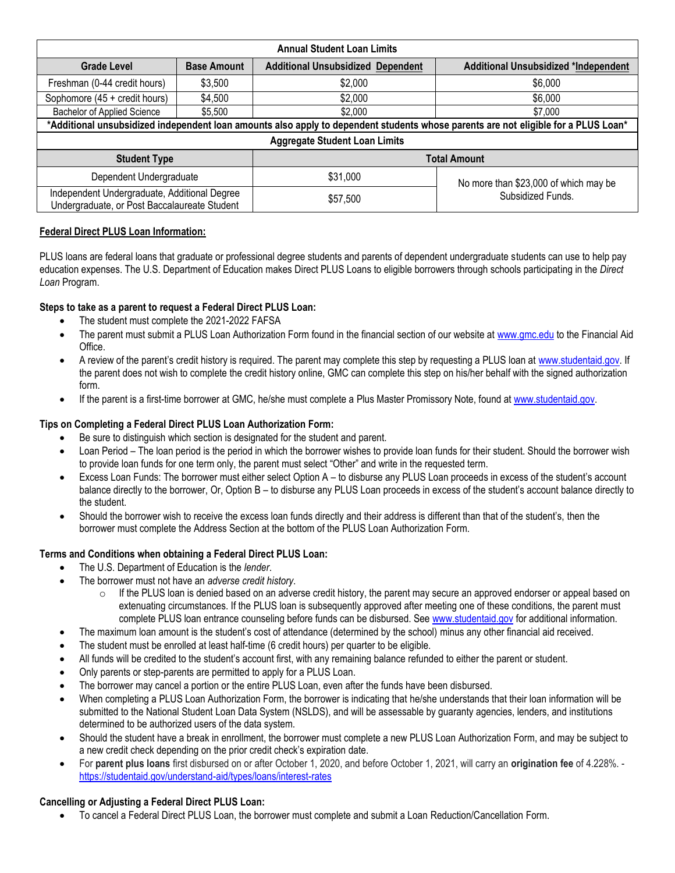| <b>Annual Student Loan Limits</b>                                                                                                  |                    |                                          |                                             |  |
|------------------------------------------------------------------------------------------------------------------------------------|--------------------|------------------------------------------|---------------------------------------------|--|
| <b>Grade Level</b>                                                                                                                 | <b>Base Amount</b> | <b>Additional Unsubsidized Dependent</b> | <b>Additional Unsubsidized *Independent</b> |  |
| Freshman (0-44 credit hours)                                                                                                       | \$3,500            | \$2,000                                  | \$6,000                                     |  |
| Sophomore (45 + credit hours)                                                                                                      | \$4,500            | \$2,000                                  | \$6,000                                     |  |
| <b>Bachelor of Applied Science</b>                                                                                                 | \$5,500            | \$2,000                                  | \$7,000                                     |  |
| *Additional unsubsidized independent loan amounts also apply to dependent students whose parents are not eligible for a PLUS Loan* |                    |                                          |                                             |  |
| <b>Aggregate Student Loan Limits</b>                                                                                               |                    |                                          |                                             |  |
| <b>Student Type</b>                                                                                                                |                    | <b>Total Amount</b>                      |                                             |  |
| Dependent Undergraduate                                                                                                            |                    | \$31,000                                 | No more than \$23,000 of which may be       |  |
| Independent Undergraduate, Additional Degree<br>Undergraduate, or Post Baccalaureate Student                                       |                    | \$57,500                                 | Subsidized Funds.                           |  |

# **Federal Direct PLUS Loan Information:**

PLUS loans are federal loans that graduate or professional degree students and parents of dependent undergraduate students can use to help pay education expenses. The U.S. Department of Education makes Direct PLUS Loans to eligible borrowers through schools participating in the *Direct Loan* Program.

### **Steps to take as a parent to request a Federal Direct PLUS Loan:**

- The student must complete the 2021-2022 FAFSA
- The parent must submit a PLUS Loan Authorization Form found in the financial section of our website at [www.gmc.edu](www.gmc.edu%20) to the Financial Aid Office.
- A review of the parent's credit history is required. The parent may complete this step by requesting a PLUS loan a[t www.studentaid.gov.](http://www.studentaid.gov/) If the parent does not wish to complete the credit history online, GMC can complete this step on his/her behalf with the signed authorization form.
- If the parent is a first-time borrower at GMC, he/she must complete a Plus Master Promissory Note, found at [www.studentaid.gov.](http://www.studentaid.gov/)

### **Tips on Completing a Federal Direct PLUS Loan Authorization Form:**

- Be sure to distinguish which section is designated for the student and parent.
- Loan Period The loan period is the period in which the borrower wishes to provide loan funds for their student. Should the borrower wish to provide loan funds for one term only, the parent must select "Other" and write in the requested term.
- Excess Loan Funds: The borrower must either select Option A to disburse any PLUS Loan proceeds in excess of the student's account balance directly to the borrower, Or, Option B – to disburse any PLUS Loan proceeds in excess of the student's account balance directly to the student.
- Should the borrower wish to receive the excess loan funds directly and their address is different than that of the student's, then the borrower must complete the Address Section at the bottom of the PLUS Loan Authorization Form.

# **Terms and Conditions when obtaining a Federal Direct PLUS Loan:**

- The U.S. Department of Education is the *lender*.
- The borrower must not have an *adverse credit history*.
	- $\circ$  If the PLUS loan is denied based on an adverse credit history, the parent may secure an approved endorser or appeal based on extenuating circumstances. If the PLUS loan is subsequently approved after meeting one of these conditions, the parent must complete PLUS loan entrance counseling before funds can be disbursed. See [www.studentaid.gov](http://www.studentaid.gov/) for additional information.
	- The maximum loan amount is the student's cost of attendance (determined by the school) minus any other financial aid received.
- The student must be enrolled at least half-time (6 credit hours) per quarter to be eligible.
- All funds will be credited to the student's account first, with any remaining balance refunded to either the parent or student.
- Only parents or step-parents are permitted to apply for a PLUS Loan.
- The borrower may cancel a portion or the entire PLUS Loan, even after the funds have been disbursed.
- When completing a PLUS Loan Authorization Form, the borrower is indicating that he/she understands that their loan information will be submitted to the National Student Loan Data System (NSLDS), and will be assessable by guaranty agencies, lenders, and institutions determined to be authorized users of the data system.
- Should the student have a break in enrollment, the borrower must complete a new PLUS Loan Authorization Form, and may be subject to a new credit check depending on the prior credit check's expiration date.
- For **parent plus loans** first disbursed on or after October 1, 2020, and before October 1, 2021, will carry an **origination fee** of 4.228%. <https://studentaid.gov/understand-aid/types/loans/interest-rates>

#### **Cancelling or Adjusting a Federal Direct PLUS Loan:**

• To cancel a Federal Direct PLUS Loan, the borrower must complete and submit a Loan Reduction/Cancellation Form.